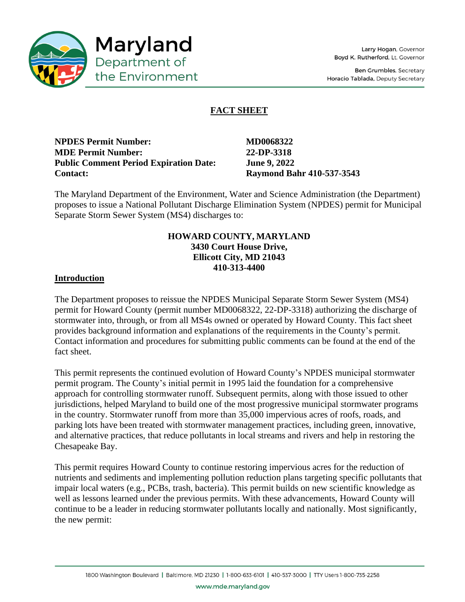

Ben Grumbles, Secretary Horacio Tablada, Deputy Secretary

# **FACT SHEET**

| <b>NPDES Permit Number:</b>                   |  |
|-----------------------------------------------|--|
| <b>MDE Permit Number:</b>                     |  |
| <b>Public Comment Period Expiration Date:</b> |  |
| <b>Contact:</b>                               |  |

**MD0068322 MDE Permit Number: 22-DP-3318 June 9, 2022 Contact: Raymond Bahr 410-537-3543**

The Maryland Department of the Environment, Water and Science Administration (the Department) proposes to issue a National Pollutant Discharge Elimination System (NPDES) permit for Municipal Separate Storm Sewer System (MS4) discharges to:

## **HOWARD COUNTY, MARYLAND 3430 Court House Drive, Ellicott City, MD 21043 410-313-4400**

# **Introduction**

The Department proposes to reissue the NPDES Municipal Separate Storm Sewer System (MS4) permit for Howard County (permit number MD0068322, 22-DP-3318) authorizing the discharge of stormwater into, through, or from all MS4s owned or operated by Howard County. This fact sheet provides background information and explanations of the requirements in the County's permit. Contact information and procedures for submitting public comments can be found at the end of the fact sheet.

This permit represents the continued evolution of Howard County's NPDES municipal stormwater permit program. The County's initial permit in 1995 laid the foundation for a comprehensive approach for controlling stormwater runoff. Subsequent permits, along with those issued to other jurisdictions, helped Maryland to build one of the most progressive municipal stormwater programs in the country. Stormwater runoff from more than 35,000 impervious acres of roofs, roads, and parking lots have been treated with stormwater management practices, including green, innovative, and alternative practices, that reduce pollutants in local streams and rivers and help in restoring the Chesapeake Bay.

This permit requires Howard County to continue restoring impervious acres for the reduction of nutrients and sediments and implementing pollution reduction plans targeting specific pollutants that impair local waters (e.g., PCBs, trash, bacteria). This permit builds on new scientific knowledge as well as lessons learned under the previous permits. With these advancements, Howard County will continue to be a leader in reducing stormwater pollutants locally and nationally. Most significantly, the new permit: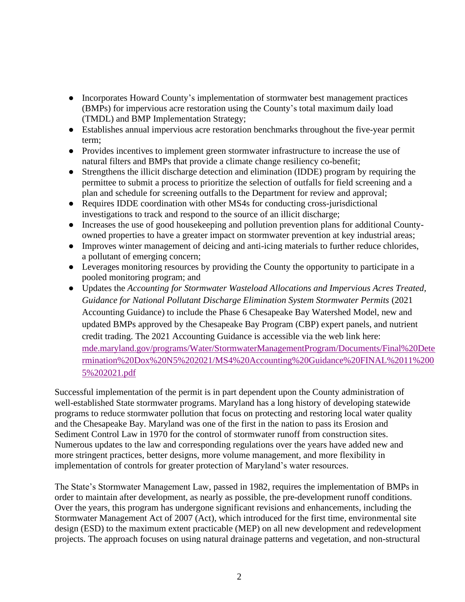- Incorporates Howard County's implementation of stormwater best management practices (BMPs) for impervious acre restoration using the County's total maximum daily load (TMDL) and BMP Implementation Strategy;
- Establishes annual impervious acre restoration benchmarks throughout the five-year permit term;
- Provides incentives to implement green stormwater infrastructure to increase the use of natural filters and BMPs that provide a climate change resiliency co-benefit;
- Strengthens the illicit discharge detection and elimination (IDDE) program by requiring the permittee to submit a process to prioritize the selection of outfalls for field screening and a plan and schedule for screening outfalls to the Department for review and approval;
- Requires IDDE coordination with other MS4s for conducting cross-jurisdictional investigations to track and respond to the source of an illicit discharge;
- Increases the use of good housekeeping and pollution prevention plans for additional Countyowned properties to have a greater impact on stormwater prevention at key industrial areas;
- Improves winter management of deicing and anti-icing materials to further reduce chlorides, a pollutant of emerging concern;
- Leverages monitoring resources by providing the County the opportunity to participate in a pooled monitoring program; and
- Updates the *Accounting for Stormwater Wasteload Allocations and Impervious Acres Treated, Guidance for National Pollutant Discharge Elimination System Stormwater Permits* (2021 Accounting Guidance) to include the Phase 6 Chesapeake Bay Watershed Model, new and updated BMPs approved by the Chesapeake Bay Program (CBP) expert panels, and nutrient credit trading. The 2021 Accounting Guidance is accessible via the web link here: [mde.maryland.gov/programs/Water/StormwaterManagementProgram/Documents/Final%20Dete](https://mde.maryland.gov/programs/Water/StormwaterManagementProgram/Documents/Final%20Determination%20Dox%20N5%202021/MS4%20Accounting%20Guidance%20FINAL%2011%2005%202021.pdf) [rmination%20Dox%20N5%202021/MS4%20Accounting%20Guidance%20FINAL%2011%200](https://mde.maryland.gov/programs/Water/StormwaterManagementProgram/Documents/Final%20Determination%20Dox%20N5%202021/MS4%20Accounting%20Guidance%20FINAL%2011%2005%202021.pdf) [5%202021.pdf](https://mde.maryland.gov/programs/Water/StormwaterManagementProgram/Documents/Final%20Determination%20Dox%20N5%202021/MS4%20Accounting%20Guidance%20FINAL%2011%2005%202021.pdf)

Successful implementation of the permit is in part dependent upon the County administration of well-established State stormwater programs. Maryland has a long history of developing statewide programs to reduce stormwater pollution that focus on protecting and restoring local water quality and the Chesapeake Bay. Maryland was one of the first in the nation to pass its Erosion and Sediment Control Law in 1970 for the control of stormwater runoff from construction sites. Numerous updates to the law and corresponding regulations over the years have added new and more stringent practices, better designs, more volume management, and more flexibility in implementation of controls for greater protection of Maryland's water resources.

The State's Stormwater Management Law, passed in 1982, requires the implementation of BMPs in order to maintain after development, as nearly as possible, the pre-development runoff conditions. Over the years, this program has undergone significant revisions and enhancements, including the Stormwater Management Act of 2007 (Act), which introduced for the first time, environmental site design (ESD) to the maximum extent practicable (MEP) on all new development and redevelopment projects. The approach focuses on using natural drainage patterns and vegetation, and non-structural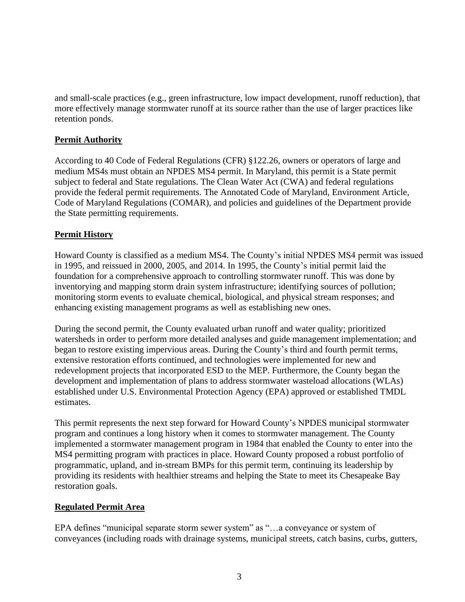and small-scale practices (e.g., green infrastructure, low impact development, runoff reduction), that more effectively manage stormwater runoff at its source rather than the use of larger practices like retention ponds.

# **Permit Authority**

According to 40 Code of Federal Regulations (CFR) §122.26, owners or operators of large and medium MS4s must obtain an NPDES MS4 permit. In Maryland, this permit is a State permit subject to federal and State regulations. The Clean Water Act (CWA) and federal regulations provide the federal permit requirements. The Annotated Code of Maryland, Environment Article, Code of Maryland Regulations (COMAR), and policies and guidelines of the Department provide the State permitting requirements.

# **Permit History**

Howard County is classified as a medium MS4. The County's initial NPDES MS4 permit was issued in 1995, and reissued in 2000, 2005, and 2014. In 1995, the County's initial permit laid the foundation for a comprehensive approach to controlling stormwater runoff. This was done by inventorying and mapping storm drain system infrastructure; identifying sources of pollution; monitoring storm events to evaluate chemical, biological, and physical stream responses; and enhancing existing management programs as well as establishing new ones.

During the second permit, the County evaluated urban runoff and water quality; prioritized watersheds in order to perform more detailed analyses and guide management implementation; and began to restore existing impervious areas. During the County's third and fourth permit terms, extensive restoration efforts continued, and technologies were implemented for new and redevelopment projects that incorporated ESD to the MEP. Furthermore, the County began the development and implementation of plans to address stormwater wasteload allocations (WLAs) established under U.S. Environmental Protection Agency (EPA) approved or established TMDL estimates.

This permit represents the next step forward for Howard County's NPDES municipal stormwater program and continues a long history when it comes to stormwater management. The County implemented a stormwater management program in 1984 that enabled the County to enter into the MS4 permitting program with practices in place. Howard County proposed a robust portfolio of programmatic, upland, and in-stream BMPs for this permit term, continuing its leadership by providing its residents with healthier streams and helping the State to meet its Chesapeake Bay restoration goals.

## **Regulated Permit Area**

EPA defines "municipal separate storm sewer system" as "…a conveyance or system of conveyances (including roads with drainage systems, municipal streets, catch basins, curbs, gutters,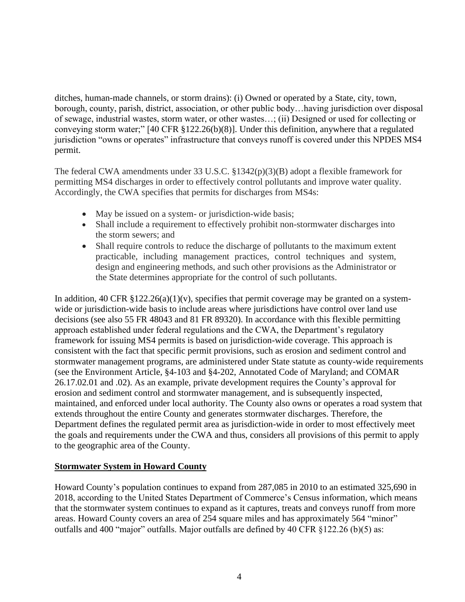ditches, human-made channels, or storm drains): (i) Owned or operated by a State, city, town, borough, county, parish, district, association, or other public body…having jurisdiction over disposal of sewage, industrial wastes, storm water, or other wastes…; (ii) Designed or used for collecting or conveying storm water;" [40 CFR §122.26(b)(8)]. Under this definition, anywhere that a regulated jurisdiction "owns or operates" infrastructure that conveys runoff is covered under this NPDES MS4 permit.

The federal CWA amendments under 33 U.S.C. §1342(p)(3)(B) adopt a flexible framework for permitting MS4 discharges in order to effectively control pollutants and improve water quality. Accordingly, the CWA specifies that permits for discharges from MS4s:

- May be issued on a system- or jurisdiction-wide basis;
- Shall include a requirement to effectively prohibit non-stormwater discharges into the storm sewers; and
- Shall require controls to reduce the discharge of pollutants to the maximum extent practicable, including management practices, control techniques and system, design and engineering methods, and such other provisions as the Administrator or the State determines appropriate for the control of such pollutants.

In addition, 40 CFR  $\S 122.26(a)(1)(v)$ , specifies that permit coverage may be granted on a systemwide or jurisdiction-wide basis to include areas where jurisdictions have control over land use decisions (see also 55 FR 48043 and 81 FR 89320). In accordance with this flexible permitting approach established under federal regulations and the CWA, the Department's regulatory framework for issuing MS4 permits is based on jurisdiction-wide coverage. This approach is consistent with the fact that specific permit provisions, such as erosion and sediment control and stormwater management programs, are administered under State statute as county-wide requirements (see the Environment Article, §4-103 and §4-202, Annotated Code of Maryland; and COMAR 26.17.02.01 and .02). As an example, private development requires the County's approval for erosion and sediment control and stormwater management, and is subsequently inspected, maintained, and enforced under local authority. The County also owns or operates a road system that extends throughout the entire County and generates stormwater discharges. Therefore, the Department defines the regulated permit area as jurisdiction-wide in order to most effectively meet the goals and requirements under the CWA and thus, considers all provisions of this permit to apply to the geographic area of the County.

## **Stormwater System in Howard County**

Howard County's population continues to expand from 287,085 in 2010 to an estimated 325,690 in 2018, according to the United States Department of Commerce's Census information, which means that the stormwater system continues to expand as it captures, treats and conveys runoff from more areas. Howard County covers an area of 254 square miles and has approximately 564 "minor" outfalls and 400 "major" outfalls. Major outfalls are defined by 40 CFR §122.26 (b)(5) as: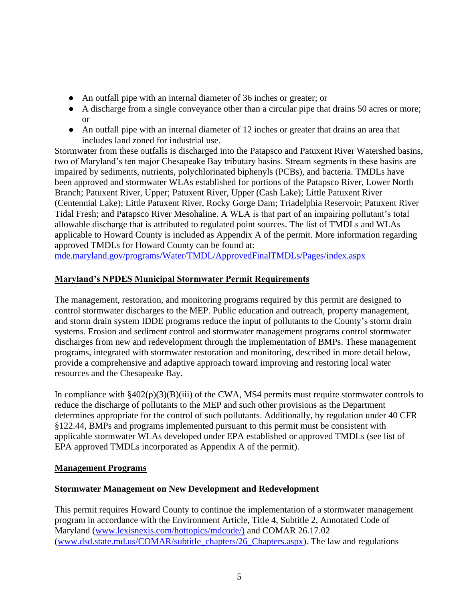- An outfall pipe with an internal diameter of 36 inches or greater; or
- A discharge from a single conveyance other than a circular pipe that drains 50 acres or more; or
- An outfall pipe with an internal diameter of 12 inches or greater that drains an area that includes land zoned for industrial use.

Stormwater from these outfalls is discharged into the Patapsco and Patuxent River Watershed basins, two of Maryland's ten major Chesapeake Bay tributary basins. Stream segments in these basins are impaired by sediments, nutrients, polychlorinated biphenyls (PCBs), and bacteria. TMDLs have been approved and stormwater WLAs established for portions of the Patapsco River, Lower North Branch; Patuxent River, Upper; Patuxent River, Upper (Cash Lake); Little Patuxent River (Centennial Lake); Little Patuxent River, Rocky Gorge Dam; Triadelphia Reservoir; Patuxent River Tidal Fresh; and Patapsco River Mesohaline. A WLA is that part of an impairing pollutant's total allowable discharge that is attributed to regulated point sources. The list of TMDLs and WLAs applicable to Howard County is included as Appendix A of the permit. More information regarding approved TMDLs for Howard County can be found at:

[mde.maryland.gov/programs/Water/TMDL/ApprovedFinalTMDLs/Pages/index.aspx](https://mde.maryland.gov/programs/Water/TMDL/ApprovedFinalTMDLs/Pages/index.aspx)

# **Maryland's NPDES Municipal Stormwater Permit Requirements**

The management, restoration, and monitoring programs required by this permit are designed to control stormwater discharges to the MEP. Public education and outreach, property management, and storm drain system IDDE programs reduce the input of pollutants to the County's storm drain systems. Erosion and sediment control and stormwater management programs control stormwater discharges from new and redevelopment through the implementation of BMPs. These management programs, integrated with stormwater restoration and monitoring, described in more detail below, provide a comprehensive and adaptive approach toward improving and restoring local water resources and the Chesapeake Bay.

In compliance with  $\frac{8402(p)(3)(B)(iii)}{2}$  of the CWA, MS4 permits must require stormwater controls to reduce the discharge of pollutants to the MEP and such other provisions as the Department determines appropriate for the control of such pollutants. Additionally, by regulation under 40 CFR §122.44, BMPs and programs implemented pursuant to this permit must be consistent with applicable stormwater WLAs developed under EPA established or approved TMDLs (see list of EPA approved TMDLs incorporated as Appendix A of the permit).

## **Management Programs**

# **Stormwater Management on New Development and Redevelopment**

This permit requires Howard County to continue the implementation of a stormwater management program in accordance with the Environment Article, Title 4, Subtitle 2, Annotated Code of Maryland [\(www.lexisnexis.com/hottopics/mdcode/\)](https://advance.lexis.com/container?config=00JAA1NTM5MzBmZC02MTg2LTQzNmEtYmI5Yy0yZWEwYzA1OGEwNTYKAFBvZENhdGFsb2fdgr2eooaZj7MpSZGOIwWq&crid=0bdfaa12-3cbe-442f-aa2c-23cf39deea95&prid=cdcab124-6c25-4fc9-9ed2-82942b2fc11f) and COMAR 26.17.02 [\(www.dsd.state.md.us/COMAR/subtitle\\_chapters/26\\_Chapters.aspx\)](http://www.dsd.state.md.us/COMAR/subtitle_chapters/26_Chapters.aspx). The law and regulations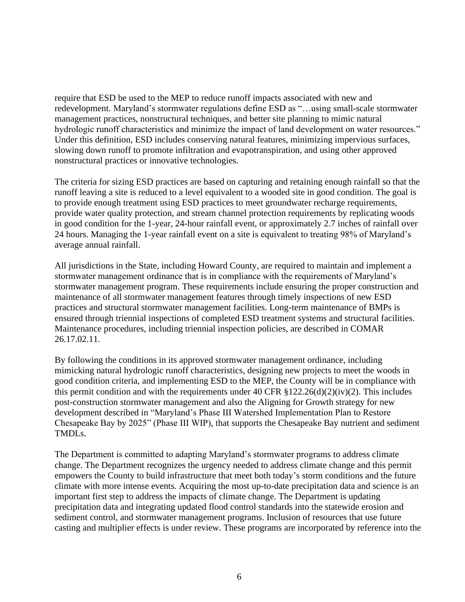require that ESD be used to the MEP to reduce runoff impacts associated with new and redevelopment. Maryland's stormwater regulations define ESD as "…using small-scale stormwater management practices, nonstructural techniques, and better site planning to mimic natural hydrologic runoff characteristics and minimize the impact of land development on water resources." Under this definition, ESD includes conserving natural features, minimizing impervious surfaces, slowing down runoff to promote infiltration and evapotranspiration, and using other approved nonstructural practices or innovative technologies.

The criteria for sizing ESD practices are based on capturing and retaining enough rainfall so that the runoff leaving a site is reduced to a level equivalent to a wooded site in good condition. The goal is to provide enough treatment using ESD practices to meet groundwater recharge requirements, provide water quality protection, and stream channel protection requirements by replicating woods in good condition for the 1-year, 24-hour rainfall event, or approximately 2.7 inches of rainfall over 24 hours. Managing the 1-year rainfall event on a site is equivalent to treating 98% of Maryland's average annual rainfall.

All jurisdictions in the State, including Howard County, are required to maintain and implement a stormwater management ordinance that is in compliance with the requirements of Maryland's stormwater management program. These requirements include ensuring the proper construction and maintenance of all stormwater management features through timely inspections of new ESD practices and structural stormwater management facilities. Long-term maintenance of BMPs is ensured through triennial inspections of completed ESD treatment systems and structural facilities. Maintenance procedures, including triennial inspection policies, are described in COMAR 26.17.02.11.

By following the conditions in its approved stormwater management ordinance, including mimicking natural hydrologic runoff characteristics, designing new projects to meet the woods in good condition criteria, and implementing ESD to the MEP, the County will be in compliance with this permit condition and with the requirements under 40 CFR  $$122.26(d)(2)(iv)(2)$ . This includes post-construction stormwater management and also the Aligning for Growth strategy for new development described in "Maryland's Phase III Watershed Implementation Plan to Restore Chesapeake Bay by 2025" (Phase III WIP), that supports the Chesapeake Bay nutrient and sediment TMDLs.

The Department is committed to adapting Maryland's stormwater programs to address climate change. The Department recognizes the urgency needed to address climate change and this permit empowers the County to build infrastructure that meet both today's storm conditions and the future climate with more intense events. Acquiring the most up-to-date precipitation data and science is an important first step to address the impacts of climate change. The Department is updating precipitation data and integrating updated flood control standards into the statewide erosion and sediment control, and stormwater management programs. Inclusion of resources that use future casting and multiplier effects is under review. These programs are incorporated by reference into the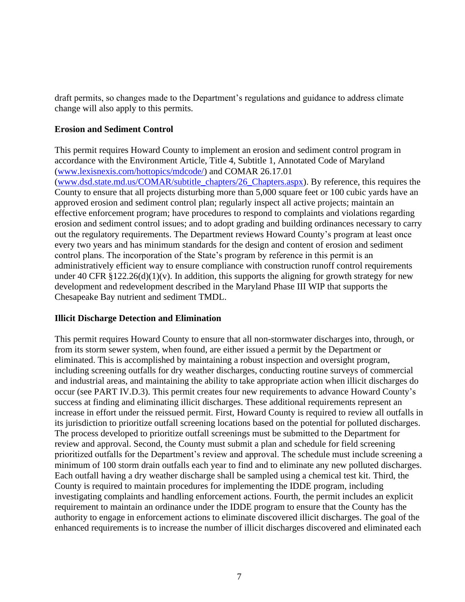draft permits, so changes made to the Department's regulations and guidance to address climate change will also apply to this permits.

#### **Erosion and Sediment Control**

This permit requires Howard County to implement an erosion and sediment control program in accordance with the Environment Article, Title 4, Subtitle 1, Annotated Code of Maryland [\(www.lexisnexis.com/hottopics/mdcode/\)](https://advance.lexis.com/container?config=00JAA1NTM5MzBmZC02MTg2LTQzNmEtYmI5Yy0yZWEwYzA1OGEwNTYKAFBvZENhdGFsb2fdgr2eooaZj7MpSZGOIwWq&crid=d33e9c90-6a02-48be-a410-dcf3ec8d3ec9) and COMAR 26.17.01 [\(www.dsd.state.md.us/COMAR/subtitle\\_chapters/26\\_Chapters.aspx\)](http://www.dsd.state.md.us/COMAR/subtitle_chapters/26_Chapters.aspx). By reference, this requires the County to ensure that all projects disturbing more than 5,000 square feet or 100 cubic yards have an approved erosion and sediment control plan; regularly inspect all active projects; maintain an effective enforcement program; have procedures to respond to complaints and violations regarding erosion and sediment control issues; and to adopt grading and building ordinances necessary to carry out the regulatory requirements. The Department reviews Howard County's program at least once every two years and has minimum standards for the design and content of erosion and sediment control plans. The incorporation of the State's program by reference in this permit is an administratively efficient way to ensure compliance with construction runoff control requirements under 40 CFR  $\S 122.26(d)(1)(v)$ . In addition, this supports the aligning for growth strategy for new development and redevelopment described in the Maryland Phase III WIP that supports the Chesapeake Bay nutrient and sediment TMDL.

#### **Illicit Discharge Detection and Elimination**

This permit requires Howard County to ensure that all non-stormwater discharges into, through, or from its storm sewer system, when found, are either issued a permit by the Department or eliminated. This is accomplished by maintaining a robust inspection and oversight program, including screening outfalls for dry weather discharges, conducting routine surveys of commercial and industrial areas, and maintaining the ability to take appropriate action when illicit discharges do occur (see PART IV.D.3). This permit creates four new requirements to advance Howard County's success at finding and eliminating illicit discharges. These additional requirements represent an increase in effort under the reissued permit. First, Howard County is required to review all outfalls in its jurisdiction to prioritize outfall screening locations based on the potential for polluted discharges. The process developed to prioritize outfall screenings must be submitted to the Department for review and approval. Second, the County must submit a plan and schedule for field screening prioritized outfalls for the Department's review and approval. The schedule must include screening a minimum of 100 storm drain outfalls each year to find and to eliminate any new polluted discharges. Each outfall having a dry weather discharge shall be sampled using a chemical test kit. Third, the County is required to maintain procedures for implementing the IDDE program, including investigating complaints and handling enforcement actions. Fourth, the permit includes an explicit requirement to maintain an ordinance under the IDDE program to ensure that the County has the authority to engage in enforcement actions to eliminate discovered illicit discharges. The goal of the enhanced requirements is to increase the number of illicit discharges discovered and eliminated each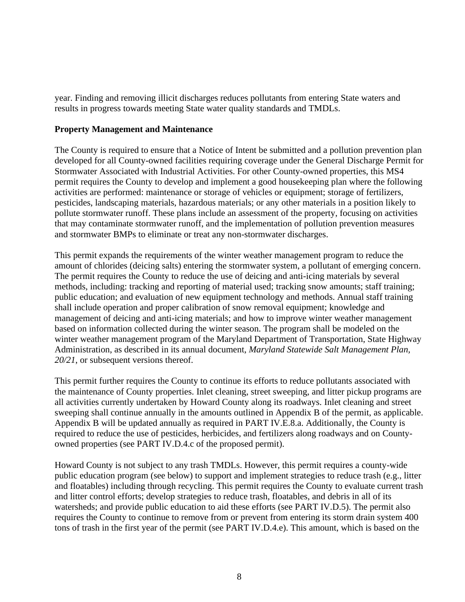year. Finding and removing illicit discharges reduces pollutants from entering State waters and results in progress towards meeting State water quality standards and TMDLs.

#### **Property Management and Maintenance**

The County is required to ensure that a Notice of Intent be submitted and a pollution prevention plan developed for all County-owned facilities requiring coverage under the General Discharge Permit for Stormwater Associated with Industrial Activities. For other County-owned properties, this MS4 permit requires the County to develop and implement a good housekeeping plan where the following activities are performed: maintenance or storage of vehicles or equipment; storage of fertilizers, pesticides, landscaping materials, hazardous materials; or any other materials in a position likely to pollute stormwater runoff. These plans include an assessment of the property, focusing on activities that may contaminate stormwater runoff, and the implementation of pollution prevention measures and stormwater BMPs to eliminate or treat any non-stormwater discharges.

This permit expands the requirements of the winter weather management program to reduce the amount of chlorides (deicing salts) entering the stormwater system, a pollutant of emerging concern. The permit requires the County to reduce the use of deicing and anti-icing materials by several methods, including: tracking and reporting of material used; tracking snow amounts; staff training; public education; and evaluation of new equipment technology and methods. Annual staff training shall include operation and proper calibration of snow removal equipment; knowledge and management of deicing and anti-icing materials; and how to improve winter weather management based on information collected during the winter season. The program shall be modeled on the winter weather management program of the Maryland Department of Transportation, State Highway Administration, as described in its annual document, *Maryland Statewide Salt Management Plan, 20/21*, or subsequent versions thereof.

This permit further requires the County to continue its efforts to reduce pollutants associated with the maintenance of County properties. Inlet cleaning, street sweeping, and litter pickup programs are all activities currently undertaken by Howard County along its roadways. Inlet cleaning and street sweeping shall continue annually in the amounts outlined in Appendix B of the permit, as applicable. Appendix B will be updated annually as required in PART IV.E.8.a. Additionally, the County is required to reduce the use of pesticides, herbicides, and fertilizers along roadways and on Countyowned properties (see PART IV.D.4.c of the proposed permit).

Howard County is not subject to any trash TMDLs. However, this permit requires a county-wide public education program (see below) to support and implement strategies to reduce trash (e.g., litter and floatables) including through recycling. This permit requires the County to evaluate current trash and litter control efforts; develop strategies to reduce trash, floatables, and debris in all of its watersheds; and provide public education to aid these efforts (see PART IV.D.5). The permit also requires the County to continue to remove from or prevent from entering its storm drain system 400 tons of trash in the first year of the permit (see PART IV.D.4.e). This amount, which is based on the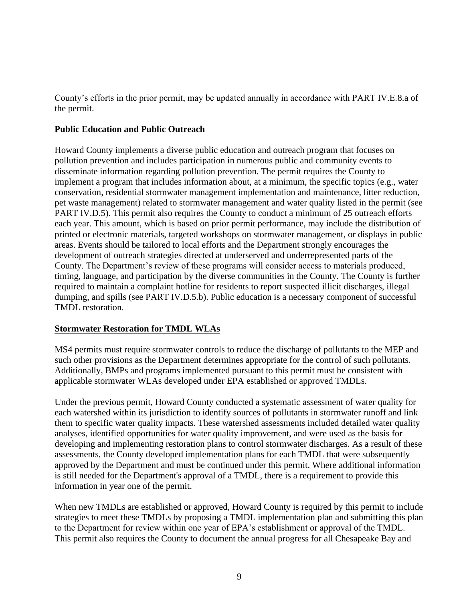County's efforts in the prior permit, may be updated annually in accordance with PART IV.E.8.a of the permit.

#### **Public Education and Public Outreach**

Howard County implements a diverse public education and outreach program that focuses on pollution prevention and includes participation in numerous public and community events to disseminate information regarding pollution prevention. The permit requires the County to implement a program that includes information about, at a minimum, the specific topics (e.g., water conservation, residential stormwater management implementation and maintenance, litter reduction, pet waste management) related to stormwater management and water quality listed in the permit (see PART IV.D.5). This permit also requires the County to conduct a minimum of 25 outreach efforts each year. This amount, which is based on prior permit performance, may include the distribution of printed or electronic materials, targeted workshops on stormwater management, or displays in public areas. Events should be tailored to local efforts and the Department strongly encourages the development of outreach strategies directed at underserved and underrepresented parts of the County. The Department's review of these programs will consider access to materials produced, timing, language, and participation by the diverse communities in the County. The County is further required to maintain a complaint hotline for residents to report suspected illicit discharges, illegal dumping, and spills (see PART IV.D.5.b). Public education is a necessary component of successful TMDL restoration.

## **Stormwater Restoration for TMDL WLAs**

MS4 permits must require stormwater controls to reduce the discharge of pollutants to the MEP and such other provisions as the Department determines appropriate for the control of such pollutants. Additionally, BMPs and programs implemented pursuant to this permit must be consistent with applicable stormwater WLAs developed under EPA established or approved TMDLs.

Under the previous permit, Howard County conducted a systematic assessment of water quality for each watershed within its jurisdiction to identify sources of pollutants in stormwater runoff and link them to specific water quality impacts. These watershed assessments included detailed water quality analyses, identified opportunities for water quality improvement, and were used as the basis for developing and implementing restoration plans to control stormwater discharges. As a result of these assessments, the County developed implementation plans for each TMDL that were subsequently approved by the Department and must be continued under this permit. Where additional information is still needed for the Department's approval of a TMDL, there is a requirement to provide this information in year one of the permit.

When new TMDLs are established or approved, Howard County is required by this permit to include strategies to meet these TMDLs by proposing a TMDL implementation plan and submitting this plan to the Department for review within one year of EPA's establishment or approval of the TMDL. This permit also requires the County to document the annual progress for all Chesapeake Bay and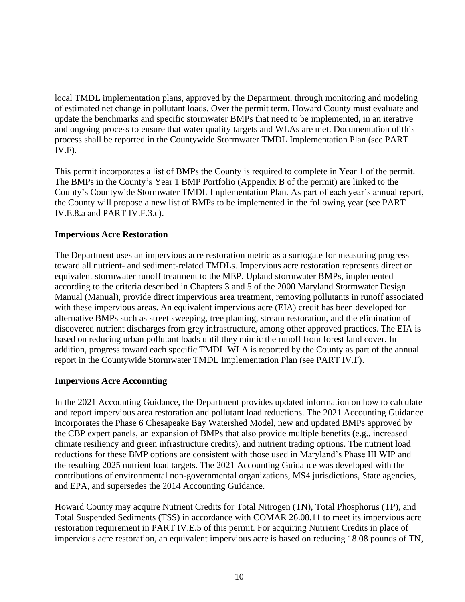local TMDL implementation plans, approved by the Department, through monitoring and modeling of estimated net change in pollutant loads. Over the permit term, Howard County must evaluate and update the benchmarks and specific stormwater BMPs that need to be implemented, in an iterative and ongoing process to ensure that water quality targets and WLAs are met. Documentation of this process shall be reported in the Countywide Stormwater TMDL Implementation Plan (see PART IV.F).

This permit incorporates a list of BMPs the County is required to complete in Year 1 of the permit. The BMPs in the County's Year 1 BMP Portfolio (Appendix B of the permit) are linked to the County's Countywide Stormwater TMDL Implementation Plan. As part of each year's annual report, the County will propose a new list of BMPs to be implemented in the following year (see PART IV.E.8.a and PART IV.F.3.c).

## **Impervious Acre Restoration**

The Department uses an impervious acre restoration metric as a surrogate for measuring progress toward all nutrient- and sediment-related TMDLs. Impervious acre restoration represents direct or equivalent stormwater runoff treatment to the MEP. Upland stormwater BMPs, implemented according to the criteria described in Chapters 3 and 5 of the 2000 Maryland Stormwater Design Manual (Manual), provide direct impervious area treatment, removing pollutants in runoff associated with these impervious areas. An equivalent impervious acre (EIA) credit has been developed for alternative BMPs such as street sweeping, tree planting, stream restoration, and the elimination of discovered nutrient discharges from grey infrastructure, among other approved practices. The EIA is based on reducing urban pollutant loads until they mimic the runoff from forest land cover. In addition, progress toward each specific TMDL WLA is reported by the County as part of the annual report in the Countywide Stormwater TMDL Implementation Plan (see PART IV.F).

## **Impervious Acre Accounting**

In the 2021 Accounting Guidance, the Department provides updated information on how to calculate and report impervious area restoration and pollutant load reductions. The 2021 Accounting Guidance incorporates the Phase 6 Chesapeake Bay Watershed Model, new and updated BMPs approved by the CBP expert panels, an expansion of BMPs that also provide multiple benefits (e.g., increased climate resiliency and green infrastructure credits), and nutrient trading options. The nutrient load reductions for these BMP options are consistent with those used in Maryland's Phase III WIP and the resulting 2025 nutrient load targets. The 2021 Accounting Guidance was developed with the contributions of environmental non-governmental organizations, MS4 jurisdictions, State agencies, and EPA, and supersedes the 2014 Accounting Guidance.

Howard County may acquire Nutrient Credits for Total Nitrogen (TN), Total Phosphorus (TP), and Total Suspended Sediments (TSS) in accordance with COMAR 26.08.11 to meet its impervious acre restoration requirement in PART IV.E.5 of this permit. For acquiring Nutrient Credits in place of impervious acre restoration, an equivalent impervious acre is based on reducing 18.08 pounds of TN,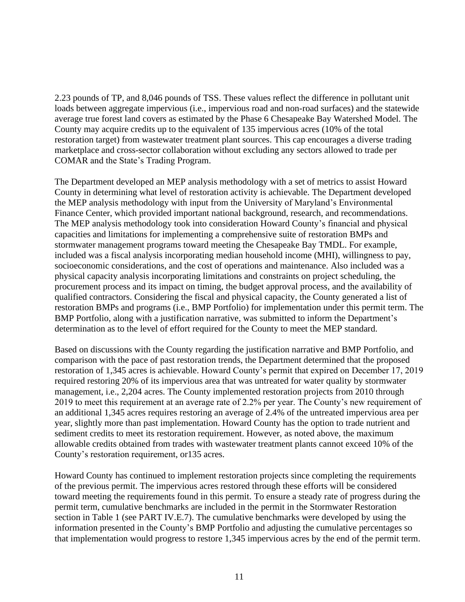2.23 pounds of TP, and 8,046 pounds of TSS. These values reflect the difference in pollutant unit loads between aggregate impervious (i.e., impervious road and non-road surfaces) and the statewide average true forest land covers as estimated by the Phase 6 Chesapeake Bay Watershed Model. The County may acquire credits up to the equivalent of 135 impervious acres (10% of the total restoration target) from wastewater treatment plant sources. This cap encourages a diverse trading marketplace and cross-sector collaboration without excluding any sectors allowed to trade per COMAR and the State's Trading Program.

The Department developed an MEP analysis methodology with a set of metrics to assist Howard County in determining what level of restoration activity is achievable. The Department developed the MEP analysis methodology with input from the University of Maryland's Environmental Finance Center, which provided important national background, research, and recommendations. The MEP analysis methodology took into consideration Howard County's financial and physical capacities and limitations for implementing a comprehensive suite of restoration BMPs and stormwater management programs toward meeting the Chesapeake Bay TMDL. For example, included was a fiscal analysis incorporating median household income (MHI), willingness to pay, socioeconomic considerations, and the cost of operations and maintenance. Also included was a physical capacity analysis incorporating limitations and constraints on project scheduling, the procurement process and its impact on timing, the budget approval process, and the availability of qualified contractors. Considering the fiscal and physical capacity, the County generated a list of restoration BMPs and programs (i.e., BMP Portfolio) for implementation under this permit term. The BMP Portfolio, along with a justification narrative, was submitted to inform the Department's determination as to the level of effort required for the County to meet the MEP standard.

Based on discussions with the County regarding the justification narrative and BMP Portfolio, and comparison with the pace of past restoration trends, the Department determined that the proposed restoration of 1,345 acres is achievable. Howard County's permit that expired on December 17, 2019 required restoring 20% of its impervious area that was untreated for water quality by stormwater management, i.e., 2,204 acres. The County implemented restoration projects from 2010 through 2019 to meet this requirement at an average rate of 2.2% per year. The County's new requirement of an additional 1,345 acres requires restoring an average of 2.4% of the untreated impervious area per year, slightly more than past implementation. Howard County has the option to trade nutrient and sediment credits to meet its restoration requirement. However, as noted above, the maximum allowable credits obtained from trades with wastewater treatment plants cannot exceed 10% of the County's restoration requirement, or135 acres.

Howard County has continued to implement restoration projects since completing the requirements of the previous permit. The impervious acres restored through these efforts will be considered toward meeting the requirements found in this permit. To ensure a steady rate of progress during the permit term, cumulative benchmarks are included in the permit in the Stormwater Restoration section in Table 1 (see PART IV.E.7). The cumulative benchmarks were developed by using the information presented in the County's BMP Portfolio and adjusting the cumulative percentages so that implementation would progress to restore 1,345 impervious acres by the end of the permit term.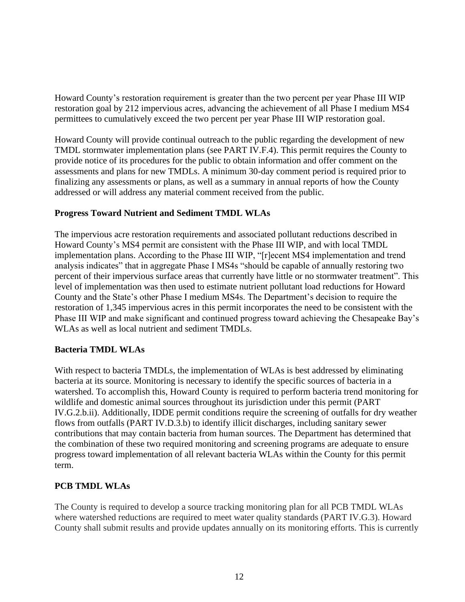Howard County's restoration requirement is greater than the two percent per year Phase III WIP restoration goal by 212 impervious acres, advancing the achievement of all Phase I medium MS4 permittees to cumulatively exceed the two percent per year Phase III WIP restoration goal.

Howard County will provide continual outreach to the public regarding the development of new TMDL stormwater implementation plans (see PART IV.F.4). This permit requires the County to provide notice of its procedures for the public to obtain information and offer comment on the assessments and plans for new TMDLs. A minimum 30-day comment period is required prior to finalizing any assessments or plans, as well as a summary in annual reports of how the County addressed or will address any material comment received from the public.

# **Progress Toward Nutrient and Sediment TMDL WLAs**

The impervious acre restoration requirements and associated pollutant reductions described in Howard County's MS4 permit are consistent with the Phase III WIP, and with local TMDL implementation plans. According to the Phase III WIP, "[r]ecent MS4 implementation and trend analysis indicates" that in aggregate Phase I MS4s "should be capable of annually restoring two percent of their impervious surface areas that currently have little or no stormwater treatment". This level of implementation was then used to estimate nutrient pollutant load reductions for Howard County and the State's other Phase I medium MS4s. The Department's decision to require the restoration of 1,345 impervious acres in this permit incorporates the need to be consistent with the Phase III WIP and make significant and continued progress toward achieving the Chesapeake Bay's WLAs as well as local nutrient and sediment TMDLs.

## **Bacteria TMDL WLAs**

With respect to bacteria TMDLs, the implementation of WLAs is best addressed by eliminating bacteria at its source. Monitoring is necessary to identify the specific sources of bacteria in a watershed. To accomplish this, Howard County is required to perform bacteria trend monitoring for wildlife and domestic animal sources throughout its jurisdiction under this permit (PART IV.G.2.b.ii). Additionally, IDDE permit conditions require the screening of outfalls for dry weather flows from outfalls (PART IV.D.3.b) to identify illicit discharges, including sanitary sewer contributions that may contain bacteria from human sources. The Department has determined that the combination of these two required monitoring and screening programs are adequate to ensure progress toward implementation of all relevant bacteria WLAs within the County for this permit term.

## **PCB TMDL WLAs**

The County is required to develop a source tracking monitoring plan for all PCB TMDL WLAs where watershed reductions are required to meet water quality standards (PART IV.G.3). Howard County shall submit results and provide updates annually on its monitoring efforts. This is currently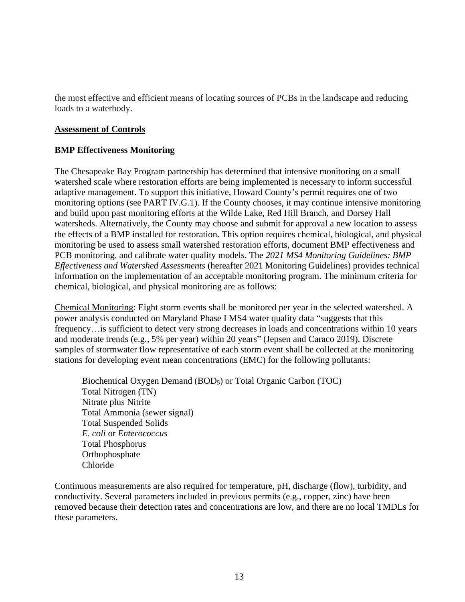the most effective and efficient means of locating sources of PCBs in the landscape and reducing loads to a waterbody.

#### **Assessment of Controls**

#### **BMP Effectiveness Monitoring**

The Chesapeake Bay Program partnership has determined that intensive monitoring on a small watershed scale where restoration efforts are being implemented is necessary to inform successful adaptive management. To support this initiative, Howard County's permit requires one of two monitoring options (see PART IV.G.1). If the County chooses, it may continue intensive monitoring and build upon past monitoring efforts at the Wilde Lake, Red Hill Branch, and Dorsey Hall watersheds. Alternatively, the County may choose and submit for approval a new location to assess the effects of a BMP installed for restoration. This option requires chemical, biological, and physical monitoring be used to assess small watershed restoration efforts, document BMP effectiveness and PCB monitoring, and calibrate water quality models. The *2021 MS4 Monitoring Guidelines: BMP Effectiveness and Watershed Assessments* (hereafter 2021 Monitoring Guidelines) provides technical information on the implementation of an acceptable monitoring program. The minimum criteria for chemical, biological, and physical monitoring are as follows:

Chemical Monitoring: Eight storm events shall be monitored per year in the selected watershed. A power analysis conducted on Maryland Phase I MS4 water quality data "suggests that this frequency…is sufficient to detect very strong decreases in loads and concentrations within 10 years and moderate trends (e.g., 5% per year) within 20 years" (Jepsen and Caraco 2019). Discrete samples of stormwater flow representative of each storm event shall be collected at the monitoring stations for developing event mean concentrations (EMC) for the following pollutants:

Biochemical Oxygen Demand (BOD<sub>5</sub>) or Total Organic Carbon (TOC) Total Nitrogen (TN) Nitrate plus Nitrite Total Ammonia (sewer signal) Total Suspended Solids *E. coli* or *Enterococcus* Total Phosphorus **Orthophosphate** Chloride

Continuous measurements are also required for temperature, pH, discharge (flow), turbidity, and conductivity. Several parameters included in previous permits (e.g., copper, zinc) have been removed because their detection rates and concentrations are low, and there are no local TMDLs for these parameters.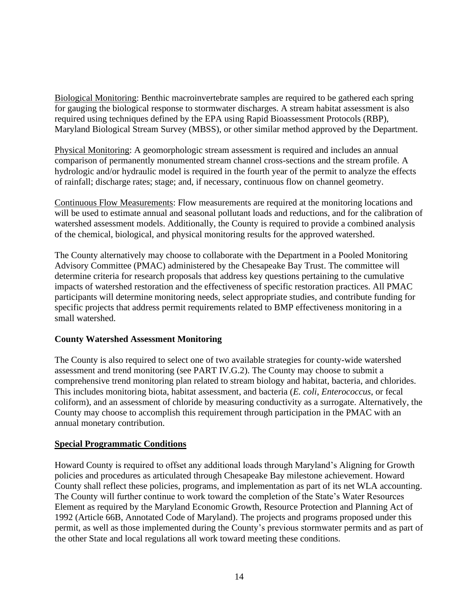Biological Monitoring: Benthic macroinvertebrate samples are required to be gathered each spring for gauging the biological response to stormwater discharges. A stream habitat assessment is also required using techniques defined by the EPA using Rapid Bioassessment Protocols (RBP), Maryland Biological Stream Survey (MBSS), or other similar method approved by the Department.

Physical Monitoring: A geomorphologic stream assessment is required and includes an annual comparison of permanently monumented stream channel cross-sections and the stream profile. A hydrologic and/or hydraulic model is required in the fourth year of the permit to analyze the effects of rainfall; discharge rates; stage; and, if necessary, continuous flow on channel geometry.

Continuous Flow Measurements: Flow measurements are required at the monitoring locations and will be used to estimate annual and seasonal pollutant loads and reductions, and for the calibration of watershed assessment models. Additionally, the County is required to provide a combined analysis of the chemical, biological, and physical monitoring results for the approved watershed.

The County alternatively may choose to collaborate with the Department in a Pooled Monitoring Advisory Committee (PMAC) administered by the Chesapeake Bay Trust. The committee will determine criteria for research proposals that address key questions pertaining to the cumulative impacts of watershed restoration and the effectiveness of specific restoration practices. All PMAC participants will determine monitoring needs, select appropriate studies, and contribute funding for specific projects that address permit requirements related to BMP effectiveness monitoring in a small watershed.

## **County Watershed Assessment Monitoring**

The County is also required to select one of two available strategies for county-wide watershed assessment and trend monitoring (see PART IV.G.2). The County may choose to submit a comprehensive trend monitoring plan related to stream biology and habitat, bacteria, and chlorides. This includes monitoring biota, habitat assessment, and bacteria (*E. coli*, *Enterococcus*, or fecal coliform), and an assessment of chloride by measuring conductivity as a surrogate. Alternatively, the County may choose to accomplish this requirement through participation in the PMAC with an annual monetary contribution.

## **Special Programmatic Conditions**

Howard County is required to offset any additional loads through Maryland's Aligning for Growth policies and procedures as articulated through Chesapeake Bay milestone achievement. Howard County shall reflect these policies, programs, and implementation as part of its net WLA accounting. The County will further continue to work toward the completion of the State's Water Resources Element as required by the Maryland Economic Growth, Resource Protection and Planning Act of 1992 (Article 66B, Annotated Code of Maryland). The projects and programs proposed under this permit, as well as those implemented during the County's previous stormwater permits and as part of the other State and local regulations all work toward meeting these conditions.